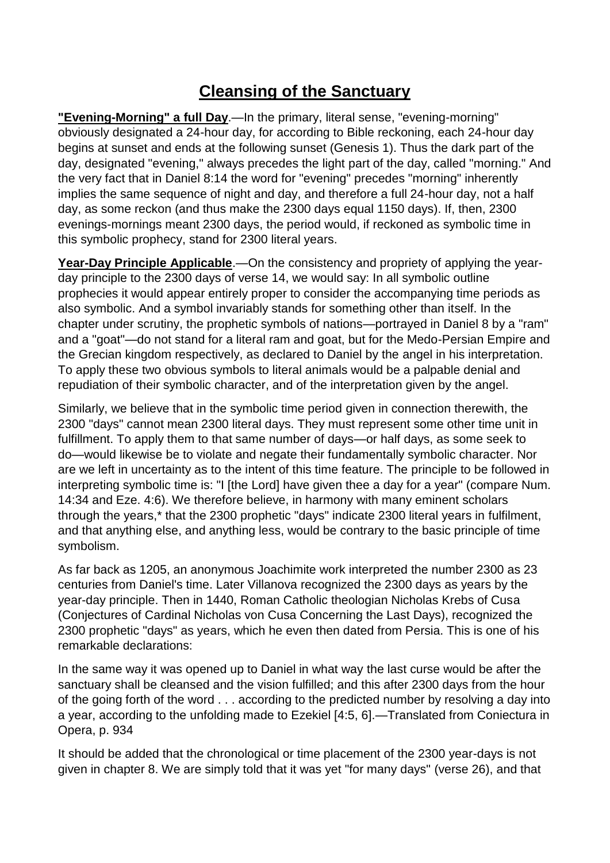## **Cleansing of the Sanctuary**

**"Evening-Morning" a full Day**.—In the primary, literal sense, "evening-morning" obviously designated a 24-hour day, for according to Bible reckoning, each 24-hour day begins at sunset and ends at the following sunset (Genesis 1). Thus the dark part of the day, designated "evening," always precedes the light part of the day, called "morning." And the very fact that in Daniel 8:14 the word for "evening" precedes "morning" inherently implies the same sequence of night and day, and therefore a full 24-hour day, not a half day, as some reckon (and thus make the 2300 days equal 1150 days). If, then, 2300 evenings-mornings meant 2300 days, the period would, if reckoned as symbolic time in this symbolic prophecy, stand for 2300 literal years.

**Year-Day Principle Applicable**.—On the consistency and propriety of applying the yearday principle to the 2300 days of verse 14, we would say: In all symbolic outline prophecies it would appear entirely proper to consider the accompanying time periods as also symbolic. And a symbol invariably stands for something other than itself. In the chapter under scrutiny, the prophetic symbols of nations—portrayed in Daniel 8 by a "ram" and a "goat"—do not stand for a literal ram and goat, but for the Medo-Persian Empire and the Grecian kingdom respectively, as declared to Daniel by the angel in his interpretation. To apply these two obvious symbols to literal animals would be a palpable denial and repudiation of their symbolic character, and of the interpretation given by the angel.

Similarly, we believe that in the symbolic time period given in connection therewith, the 2300 "days" cannot mean 2300 literal days. They must represent some other time unit in fulfillment. To apply them to that same number of days—or half days, as some seek to do—would likewise be to violate and negate their fundamentally symbolic character. Nor are we left in uncertainty as to the intent of this time feature. The principle to be followed in interpreting symbolic time is: "I [the Lord] have given thee a day for a year" (compare Num. 14:34 and Eze. 4:6). We therefore believe, in harmony with many eminent scholars through the years,\* that the 2300 prophetic "days" indicate 2300 literal years in fulfilment, and that anything else, and anything less, would be contrary to the basic principle of time symbolism.

As far back as 1205, an anonymous Joachimite work interpreted the number 2300 as 23 centuries from Daniel's time. Later Villanova recognized the 2300 days as years by the year-day principle. Then in 1440, Roman Catholic theologian Nicholas Krebs of Cusa (Conjectures of Cardinal Nicholas von Cusa Concerning the Last Days), recognized the 2300 prophetic "days" as years, which he even then dated from Persia. This is one of his remarkable declarations:

In the same way it was opened up to Daniel in what way the last curse would be after the sanctuary shall be cleansed and the vision fulfilled; and this after 2300 days from the hour of the going forth of the word . . . according to the predicted number by resolving a day into a year, according to the unfolding made to Ezekiel [4:5, 6].—Translated from Coniectura in Opera, p. 934

It should be added that the chronological or time placement of the 2300 year-days is not given in chapter 8. We are simply told that it was yet "for many days" (verse 26), and that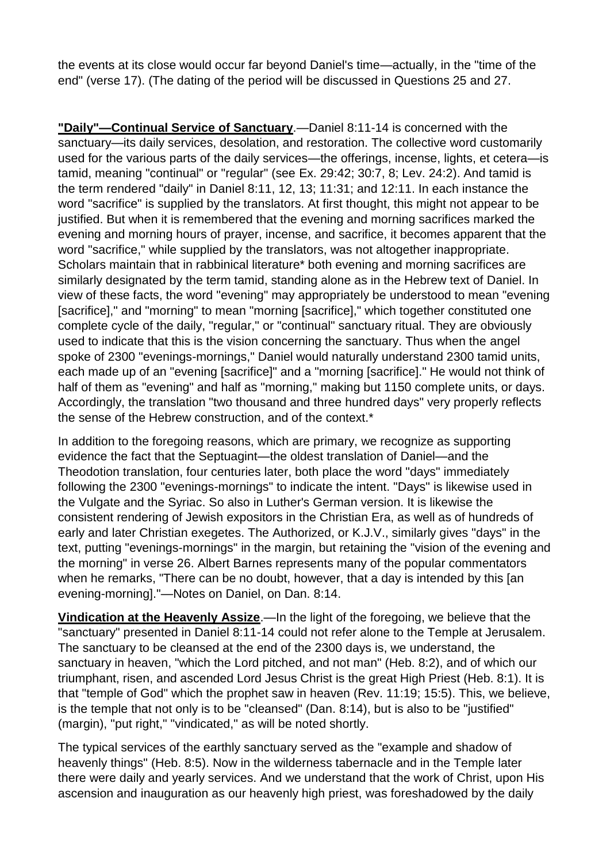the events at its close would occur far beyond Daniel's time—actually, in the "time of the end" (verse 17). (The dating of the period will be discussed in Questions 25 and 27.

**"Daily"—Continual Service of Sanctuary**.—Daniel 8:11-14 is concerned with the sanctuary—its daily services, desolation, and restoration. The collective word customarily used for the various parts of the daily services—the offerings, incense, lights, et cetera—is tamid, meaning "continual" or "regular" (see Ex. 29:42; 30:7, 8; Lev. 24:2). And tamid is the term rendered "daily" in Daniel 8:11, 12, 13; 11:31; and 12:11. In each instance the word "sacrifice" is supplied by the translators. At first thought, this might not appear to be justified. But when it is remembered that the evening and morning sacrifices marked the evening and morning hours of prayer, incense, and sacrifice, it becomes apparent that the word "sacrifice," while supplied by the translators, was not altogether inappropriate. Scholars maintain that in rabbinical literature\* both evening and morning sacrifices are similarly designated by the term tamid, standing alone as in the Hebrew text of Daniel. In view of these facts, the word "evening" may appropriately be understood to mean "evening [sacrifice]," and "morning" to mean "morning [sacrifice]," which together constituted one complete cycle of the daily, "regular," or "continual" sanctuary ritual. They are obviously used to indicate that this is the vision concerning the sanctuary. Thus when the angel spoke of 2300 "evenings-mornings," Daniel would naturally understand 2300 tamid units, each made up of an "evening [sacrifice]" and a "morning [sacrifice]." He would not think of half of them as "evening" and half as "morning," making but 1150 complete units, or days. Accordingly, the translation "two thousand and three hundred days" very properly reflects the sense of the Hebrew construction, and of the context.\*

In addition to the foregoing reasons, which are primary, we recognize as supporting evidence the fact that the Septuagint—the oldest translation of Daniel—and the Theodotion translation, four centuries later, both place the word "days" immediately following the 2300 "evenings-mornings" to indicate the intent. "Days" is likewise used in the Vulgate and the Syriac. So also in Luther's German version. It is likewise the consistent rendering of Jewish expositors in the Christian Era, as well as of hundreds of early and later Christian exegetes. The Authorized, or K.J.V., similarly gives "days" in the text, putting "evenings-mornings" in the margin, but retaining the "vision of the evening and the morning" in verse 26. Albert Barnes represents many of the popular commentators when he remarks, "There can be no doubt, however, that a day is intended by this [an evening-morning]."—Notes on Daniel, on Dan. 8:14.

**Vindication at the Heavenly Assize**.—In the light of the foregoing, we believe that the "sanctuary" presented in Daniel 8:11-14 could not refer alone to the Temple at Jerusalem. The sanctuary to be cleansed at the end of the 2300 days is, we understand, the sanctuary in heaven, "which the Lord pitched, and not man" (Heb. 8:2), and of which our triumphant, risen, and ascended Lord Jesus Christ is the great High Priest (Heb. 8:1). It is that "temple of God" which the prophet saw in heaven (Rev. 11:19; 15:5). This, we believe, is the temple that not only is to be "cleansed" (Dan. 8:14), but is also to be "justified" (margin), "put right," "vindicated," as will be noted shortly.

The typical services of the earthly sanctuary served as the "example and shadow of heavenly things" (Heb. 8:5). Now in the wilderness tabernacle and in the Temple later there were daily and yearly services. And we understand that the work of Christ, upon His ascension and inauguration as our heavenly high priest, was foreshadowed by the daily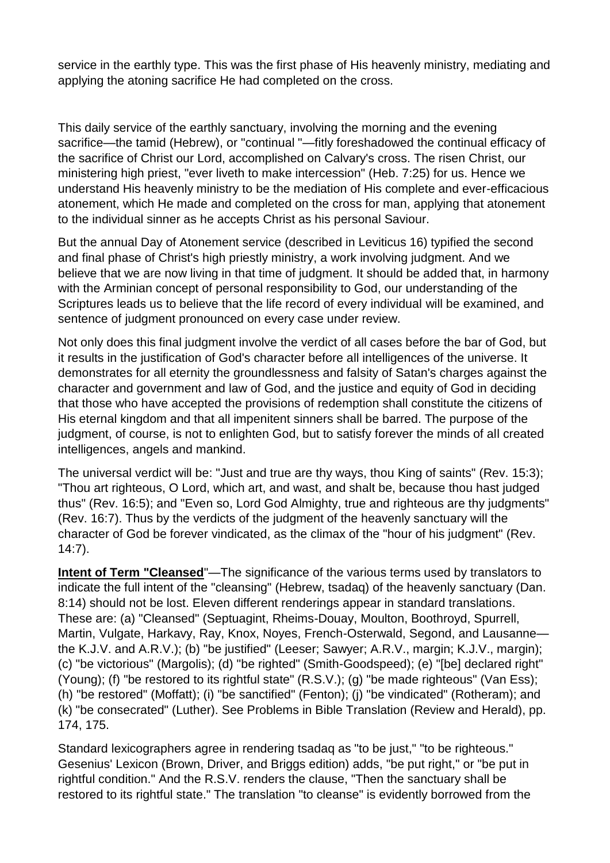service in the earthly type. This was the first phase of His heavenly ministry, mediating and applying the atoning sacrifice He had completed on the cross.

This daily service of the earthly sanctuary, involving the morning and the evening sacrifice—the tamid (Hebrew), or "continual "—fitly foreshadowed the continual efficacy of the sacrifice of Christ our Lord, accomplished on Calvary's cross. The risen Christ, our ministering high priest, "ever liveth to make intercession" (Heb. 7:25) for us. Hence we understand His heavenly ministry to be the mediation of His complete and ever-efficacious atonement, which He made and completed on the cross for man, applying that atonement to the individual sinner as he accepts Christ as his personal Saviour.

But the annual Day of Atonement service (described in Leviticus 16) typified the second and final phase of Christ's high priestly ministry, a work involving judgment. And we believe that we are now living in that time of judgment. It should be added that, in harmony with the Arminian concept of personal responsibility to God, our understanding of the Scriptures leads us to believe that the life record of every individual will be examined, and sentence of judgment pronounced on every case under review.

Not only does this final judgment involve the verdict of all cases before the bar of God, but it results in the justification of God's character before all intelligences of the universe. It demonstrates for all eternity the groundlessness and falsity of Satan's charges against the character and government and law of God, and the justice and equity of God in deciding that those who have accepted the provisions of redemption shall constitute the citizens of His eternal kingdom and that all impenitent sinners shall be barred. The purpose of the judgment, of course, is not to enlighten God, but to satisfy forever the minds of all created intelligences, angels and mankind.

The universal verdict will be: "Just and true are thy ways, thou King of saints" (Rev. 15:3); "Thou art righteous, O Lord, which art, and wast, and shalt be, because thou hast judged thus" (Rev. 16:5); and "Even so, Lord God Almighty, true and righteous are thy judgments" (Rev. 16:7). Thus by the verdicts of the judgment of the heavenly sanctuary will the character of God be forever vindicated, as the climax of the "hour of his judgment" (Rev. 14:7).

**Intent of Term "Cleansed"—The significance of the various terms used by translators to** indicate the full intent of the "cleansing" (Hebrew, tsadaq) of the heavenly sanctuary (Dan. 8:14) should not be lost. Eleven different renderings appear in standard translations. These are: (a) "Cleansed" (Septuagint, Rheims-Douay, Moulton, Boothroyd, Spurrell, Martin, Vulgate, Harkavy, Ray, Knox, Noyes, French-Osterwald, Segond, and Lausanne the K.J.V. and A.R.V.); (b) "be justified" (Leeser; Sawyer; A.R.V., margin; K.J.V., margin); (c) "be victorious" (Margolis); (d) "be righted" (Smith-Goodspeed); (e) "[be] declared right" (Young); (f) "be restored to its rightful state" (R.S.V.); (g) "be made righteous" (Van Ess); (h) "be restored" (Moffatt); (i) "be sanctified" (Fenton); (j) "be vindicated" (Rotheram); and (k) "be consecrated" (Luther). See Problems in Bible Translation (Review and Herald), pp. 174, 175.

Standard lexicographers agree in rendering tsadaq as "to be just," "to be righteous." Gesenius' Lexicon (Brown, Driver, and Briggs edition) adds, "be put right," or "be put in rightful condition." And the R.S.V. renders the clause, "Then the sanctuary shall be restored to its rightful state." The translation "to cleanse" is evidently borrowed from the